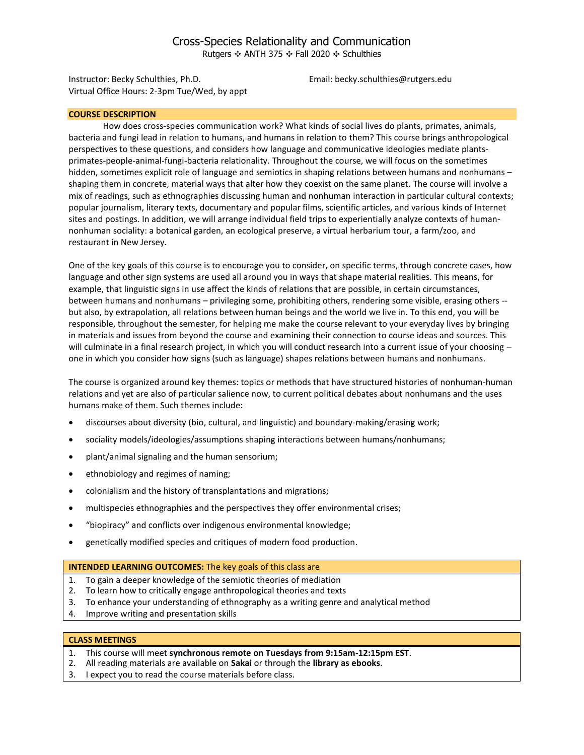Instructor: Becky Schulthies, Ph.D. Virtual Office Hours: 2-3pm Tue/Wed, by appt Email: becky.schulthies@rutgers.edu

#### **COURSE DESCRIPTION**

How does cross-species communication work? What kinds of social lives do plants, primates, animals, bacteria and fungi lead in relation to humans, and humans in relation to them? This course brings anthropological perspectives to these questions, and considers how language and communicative ideologies mediate plantsprimates-people-animal-fungi-bacteria relationality. Throughout the course, we will focus on the sometimes hidden, sometimes explicit role of language and semiotics in shaping relations between humans and nonhumans – shaping them in concrete, material ways that alter how they coexist on the same planet. The course will involve a mix of readings, such as ethnographies discussing human and nonhuman interaction in particular cultural contexts; popular journalism, literary texts, documentary and popular films, scientific articles, and various kinds of Internet sites and postings. In addition, we will arrange individual field trips to experientially analyze contexts of humannonhuman sociality: a botanical garden, an ecological preserve, a virtual herbarium tour, a farm/zoo, and restaurant in New Jersey.

One of the key goals of this course is to encourage you to consider, on specific terms, through concrete cases, how language and other sign systems are used all around you in ways that shape material realities. This means, for example, that linguistic signs in use affect the kinds of relations that are possible, in certain circumstances, between humans and nonhumans – privileging some, prohibiting others, rendering some visible, erasing others - but also, by extrapolation, all relations between human beings and the world we live in. To this end, you will be responsible, throughout the semester, for helping me make the course relevant to your everyday lives by bringing in materials and issues from beyond the course and examining their connection to course ideas and sources. This will culminate in a final research project, in which you will conduct research into a current issue of your choosing – one in which you consider how signs (such as language) shapes relations between humans and nonhumans.

The course is organized around key themes: topics or methods that have structured histories of nonhuman-human relations and yet are also of particular salience now, to current political debates about nonhumans and the uses humans make of them. Such themes include:

- discourses about diversity (bio, cultural, and linguistic) and boundary-making/erasing work;
- sociality models/ideologies/assumptions shaping interactions between humans/nonhumans;
- plant/animal signaling and the human sensorium;
- ethnobiology and regimes of naming;
- colonialism and the history of transplantations and migrations;
- multispecies ethnographies and the perspectives they offer environmental crises;
- "biopiracy" and conflicts over indigenous environmental knowledge;
- genetically modified species and critiques of modern food production.

### **INTENDED LEARNING OUTCOMES:** The key goals of this class are

- 1. To gain a deeper knowledge of the semiotic theories of mediation
- 2. To learn how to critically engage anthropological theories and texts
- 3. To enhance your understanding of ethnography as a writing genre and analytical method
- 4. Improve writing and presentation skills

### **CLASS MEETINGS**

- 1. This course will meet **synchronous remote on Tuesdays from 9:15am-12:15pm EST**.
- 2. All reading materials are available on **Sakai** or through the **library as ebooks**.
- 3. I expect you to read the course materials before class.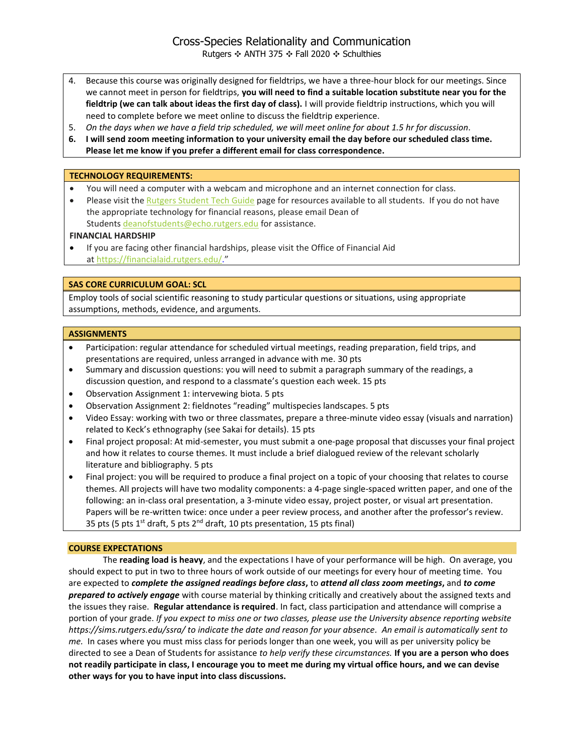- 4. Because this course was originally designed for fieldtrips, we have a three-hour block for our meetings. Since we cannot meet in person for fieldtrips, **you will need to find a suitable location substitute near you for the fieldtrip (we can talk about ideas the first day of class).** I will provide fieldtrip instructions, which you will need to complete before we meet online to discuss the fieldtrip experience.
- 5. *On the days when we have a field trip scheduled, we will meet online for about 1.5 hr for discussion*.
- **6. I will send zoom meeting information to your university email the day before our scheduled class time. Please let me know if you prefer a different email for class correspondence.**

### **TECHNOLOGY REQUIREMENTS:**

- You will need a computer with a webcam and microphone and an internet connection for class.
- Please visit the Rutgers [Student](https://it.rutgers.edu/technology-guide/students/) Tech Guide page for resources available to all students. If you do not have the appropriate technology for financial reasons, please email Dean of

Students [deanofstudents@echo.rutgers.edu](mailto:deanofstudents@echo.rutgers.edu) for assistance.

#### **FINANCIAL HARDSHIP**

 If you are facing other financial hardships, please visit the Office of Financial Aid at [https://financialaid.rutgers.edu/.](https://financialaid.rutgers.edu/)"

### **SAS CORE CURRICULUM GOAL: SCL**

Employ tools of social scientific reasoning to study particular questions or situations, using appropriate assumptions, methods, evidence, and arguments.

### **ASSIGNMENTS**

- Participation: regular attendance for scheduled virtual meetings, reading preparation, field trips, and presentations are required, unless arranged in advance with me. 30 pts
- Summary and discussion questions: you will need to submit a paragraph summary of the readings, a discussion question, and respond to a classmate's question each week. 15 pts
- Observation Assignment 1: intervewing biota. 5 pts
- Observation Assignment 2: fieldnotes "reading" multispecies landscapes. 5 pts
- Video Essay: working with two or three classmates, prepare a three-minute video essay (visuals and narration) related to Keck's ethnography (see Sakai for details). 15 pts
- Final project proposal: At mid-semester, you must submit a one-page proposal that discusses your final project and how it relates to course themes. It must include a brief dialogued review of the relevant scholarly literature and bibliography. 5 pts
- Final project: you will be required to produce a final project on a topic of your choosing that relates to course themes. All projects will have two modality components: a 4-page single-spaced written paper, and one of the following: an in-class oral presentation, a 3-minute video essay, project poster, or visual art presentation. Papers will be re-written twice: once under a peer review process, and another after the professor's review. 35 pts (5 pts  $1^{st}$  draft, 5 pts  $2^{nd}$  draft, 10 pts presentation, 15 pts final)

### **COURSE EXPECTATIONS**

The **reading load is heavy**, and the expectations I have of your performance will be high. On average, you should expect to put in two to three hours of work outside of our meetings for every hour of meeting time. You are expected to *complete the assigned readings before class***,** to *attend all class zoom meetings***,** and *to come prepared to actively engage* with course material by thinking critically and creatively about the assigned texts and the issues they raise. **Regular attendance is required**. In fact, class participation and attendance will comprise a portion of your grade. *If you expect to miss one or two classes, please use the University absence reporting website https://sims.rutgers.edu/ssra/ to indicate the date and reason for your absence. An email is automatically sent to me.* In cases where you must miss class for periods longer than one week, you will as per university policy be directed to see a Dean of Students for assistance *to help verify these circumstances.* **If you are a person who does not readily participate in class, I encourage you to meet me during my virtual office hours, and we can devise other ways for you to have input into class discussions.**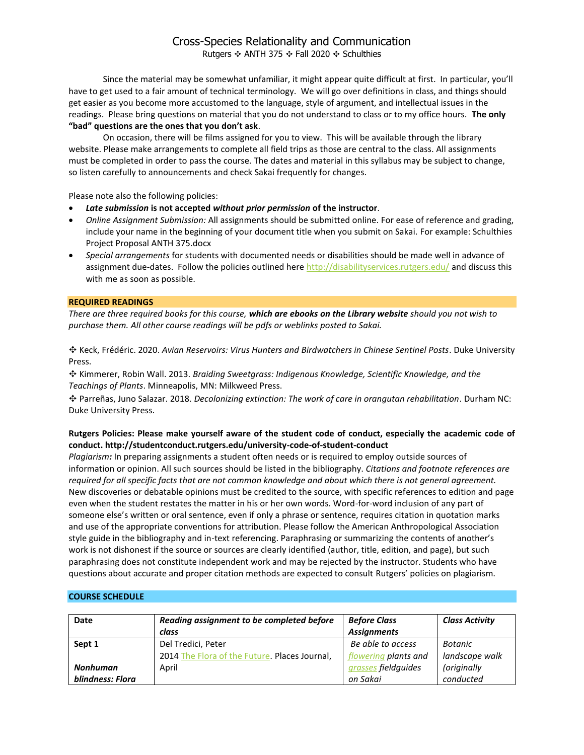Since the material may be somewhat unfamiliar, it might appear quite difficult at first. In particular, you'll have to get used to a fair amount of technical terminology. We will go over definitions in class, and things should get easier as you become more accustomed to the language, style of argument, and intellectual issues in the readings. Please bring questions on material that you do not understand to class or to my office hours. **The only "bad" questions are the ones that you don't ask**.

On occasion, there will be films assigned for you to view. This will be available through the library website. Please make arrangements to complete all field trips as those are central to the class. All assignments must be completed in order to pass the course. The dates and material in this syllabus may be subject to change, so listen carefully to announcements and check Sakai frequently for changes.

Please note also the following policies:

- *Late submission* **is not accepted** *without prior permission* **of the instructor**.
- *Online Assignment Submission:* All assignments should be submitted online. For ease of reference and grading, include your name in the beginning of your document title when you submit on Sakai. For example: Schulthies Project Proposal ANTH 375.docx
- *Special arrangements* for students with documented needs or disabilities should be made well in advance of assignment due-dates. Follow the policies outlined her[e http://disabilityservices.rutgers.edu/](http://disabilityservices.rutgers.edu/) and discuss this with me as soon as possible.

### **REQUIRED READINGS**

*There are three required books for this course, which are ebooks on the Library website should you not wish to purchase them. All other course readings will be pdfs or weblinks posted to Sakai.*

✥ Keck, Frédéric. 2020. *Avian Reservoirs: Virus Hunters and Birdwatchers in Chinese Sentinel Posts*. Duke University Press.

✥ Kimmerer, Robin Wall. 2013. *Braiding Sweetgrass: Indigenous Knowledge, Scientific Knowledge, and the Teachings of Plants*. Minneapolis, MN: Milkweed Press.

✥ Parreñas, Juno Salazar. 2018. *Decolonizing extinction: The work of care in orangutan rehabilitation*. Durham NC: Duke University Press.

### **Rutgers Policies: Please make yourself aware of the student code of conduct, especially the academic code of conduct. http://studentconduct.rutgers.edu/university-code-of-student-conduct**

*Plagiarism:* In preparing assignments a student often needs or is required to employ outside sources of information or opinion. All such sources should be listed in the bibliography. *Citations and footnote references are required for all specific facts that are not common knowledge and about which there is not general agreement.* New discoveries or debatable opinions must be credited to the source, with specific references to edition and page even when the student restates the matter in his or her own words. Word-for-word inclusion of any part of someone else's written or oral sentence, even if only a phrase or sentence, requires citation in quotation marks and use of the appropriate conventions for attribution. Please follow the American Anthropological Association style guide in the bibliography and in-text referencing. Paraphrasing or summarizing the contents of another's work is not dishonest if the source or sources are clearly identified (author, title, edition, and page), but such paraphrasing does not constitute independent work and may be rejected by the instructor. Students who have questions about accurate and proper citation methods are expected to consult Rutgers' policies on plagiarism.

### **COURSE SCHEDULE**

| <b>Date</b>      | Reading assignment to be completed before     | <b>Before Class</b>        | <b>Class Activity</b> |
|------------------|-----------------------------------------------|----------------------------|-----------------------|
|                  | class                                         | <b>Assignments</b>         |                       |
| Sept 1           | Del Tredici, Peter                            | Be able to access          | Botanic               |
|                  | 2014 The Flora of the Future. Places Journal, | flowering plants and       | landscape walk        |
| Nonhuman         | April                                         | <u>grasses</u> fieldguides | (originally           |
| blindness: Flora |                                               | on Sakai                   | conducted             |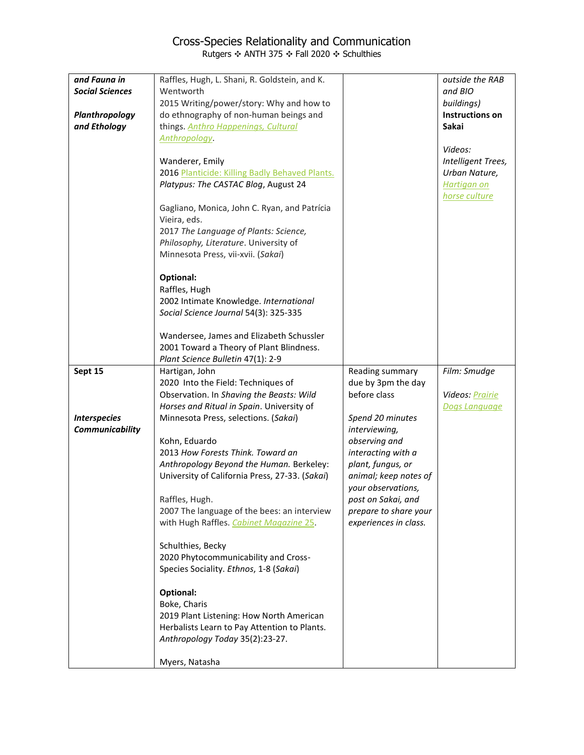| and Fauna in           | Raffles, Hugh, L. Shani, R. Goldstein, and K.  |                       | outside the RAB    |
|------------------------|------------------------------------------------|-----------------------|--------------------|
| <b>Social Sciences</b> | Wentworth                                      |                       | and BIO            |
|                        | 2015 Writing/power/story: Why and how to       |                       | buildings)         |
| Planthropology         | do ethnography of non-human beings and         |                       | Instructions on    |
| and Ethology           | things. Anthro Happenings, Cultural            |                       | <b>Sakai</b>       |
|                        | Anthropology.                                  |                       |                    |
|                        |                                                |                       | Videos:            |
|                        | Wanderer, Emily                                |                       | Intelligent Trees, |
|                        | 2016 Planticide: Killing Badly Behaved Plants. |                       | Urban Nature,      |
|                        | Platypus: The CASTAC Blog, August 24           |                       | Hartigan on        |
|                        |                                                |                       | horse culture      |
|                        | Gagliano, Monica, John C. Ryan, and Patrícia   |                       |                    |
|                        | Vieira, eds.                                   |                       |                    |
|                        | 2017 The Language of Plants: Science,          |                       |                    |
|                        | Philosophy, Literature. University of          |                       |                    |
|                        | Minnesota Press, vii-xvii. (Sakai)             |                       |                    |
|                        |                                                |                       |                    |
|                        | Optional:                                      |                       |                    |
|                        | Raffles, Hugh                                  |                       |                    |
|                        | 2002 Intimate Knowledge. International         |                       |                    |
|                        | Social Science Journal 54(3): 325-335          |                       |                    |
|                        |                                                |                       |                    |
|                        | Wandersee, James and Elizabeth Schussler       |                       |                    |
|                        | 2001 Toward a Theory of Plant Blindness.       |                       |                    |
|                        | Plant Science Bulletin 47(1): 2-9              |                       |                    |
| Sept 15                | Hartigan, John                                 | Reading summary       | Film: Smudge       |
|                        | 2020 Into the Field: Techniques of             | due by 3pm the day    |                    |
|                        | Observation. In Shaving the Beasts: Wild       | before class          | Videos: Prairie    |
|                        | Horses and Ritual in Spain. University of      |                       | Dogs Language      |
| <b>Interspecies</b>    | Minnesota Press, selections. (Sakai)           | Spend 20 minutes      |                    |
| Communicability        |                                                | interviewing,         |                    |
|                        | Kohn, Eduardo                                  | observing and         |                    |
|                        | 2013 How Forests Think. Toward an              | interacting with a    |                    |
|                        | Anthropology Beyond the Human. Berkeley:       | plant, fungus, or     |                    |
|                        | University of California Press, 27-33. (Sakai) | animal; keep notes of |                    |
|                        |                                                | your observations,    |                    |
|                        | Raffles, Hugh.                                 | post on Sakai, and    |                    |
|                        | 2007 The language of the bees: an interview    | prepare to share your |                    |
|                        | with Hugh Raffles. Cabinet Magazine 25.        | experiences in class. |                    |
|                        |                                                |                       |                    |
|                        | Schulthies, Becky                              |                       |                    |
|                        | 2020 Phytocommunicability and Cross-           |                       |                    |
|                        | Species Sociality. Ethnos, 1-8 (Sakai)         |                       |                    |
|                        |                                                |                       |                    |
|                        | Optional:                                      |                       |                    |
|                        | Boke, Charis                                   |                       |                    |
|                        | 2019 Plant Listening: How North American       |                       |                    |
|                        | Herbalists Learn to Pay Attention to Plants.   |                       |                    |
|                        | Anthropology Today 35(2):23-27.                |                       |                    |
|                        |                                                |                       |                    |
|                        | Myers, Natasha                                 |                       |                    |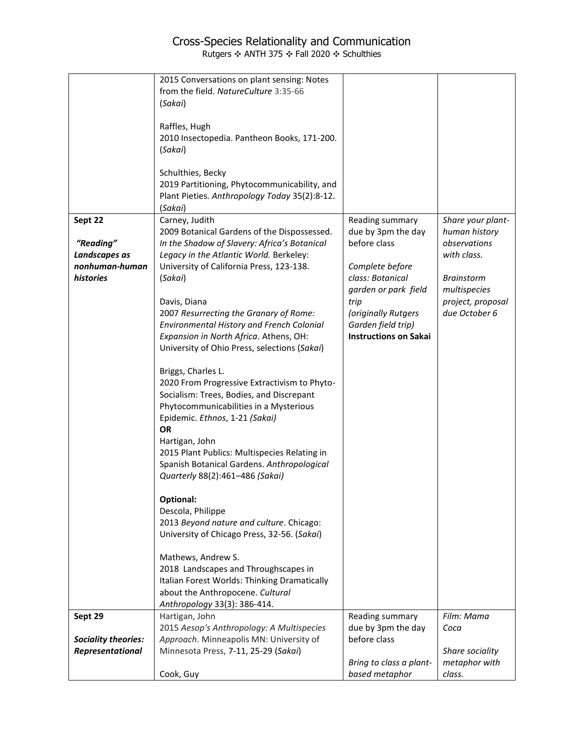|                | Mathews, Andrew S.<br>2018 Landscapes and Throughscapes in                          |                                                    |                   |
|----------------|-------------------------------------------------------------------------------------|----------------------------------------------------|-------------------|
|                |                                                                                     |                                                    |                   |
|                |                                                                                     |                                                    |                   |
|                | University of Chicago Press, 32-56. (Sakai)                                         |                                                    |                   |
|                | Descola, Philippe<br>2013 Beyond nature and culture. Chicago:                       |                                                    |                   |
|                | Optional:                                                                           |                                                    |                   |
|                |                                                                                     |                                                    |                   |
|                | Quarterly 88(2):461-486 (Sakai)                                                     |                                                    |                   |
|                | Spanish Botanical Gardens. Anthropological                                          |                                                    |                   |
|                | 2015 Plant Publics: Multispecies Relating in                                        |                                                    |                   |
|                | Hartigan, John                                                                      |                                                    |                   |
|                | <b>OR</b>                                                                           |                                                    |                   |
|                | Epidemic. Ethnos, 1-21 (Sakai)                                                      |                                                    |                   |
|                | Phytocommunicabilities in a Mysterious                                              |                                                    |                   |
|                | Socialism: Trees, Bodies, and Discrepant                                            |                                                    |                   |
|                | 2020 From Progressive Extractivism to Phyto-                                        |                                                    |                   |
|                | Briggs, Charles L.                                                                  |                                                    |                   |
|                |                                                                                     |                                                    |                   |
|                | University of Ohio Press, selections (Sakai)                                        |                                                    |                   |
|                | Environmental History and French Colonial<br>Expansion in North Africa. Athens, OH: | Garden field trip)<br><b>Instructions on Sakai</b> |                   |
|                | 2007 Resurrecting the Granary of Rome:                                              | (originally Rutgers                                | due October 6     |
|                | Davis, Diana                                                                        | trip                                               | project, proposal |
|                |                                                                                     | garden or park field                               | multispecies      |
| histories      | (Sakai)                                                                             | class: Botanical                                   | Brainstorm        |
| nonhuman-human | University of California Press, 123-138.                                            | Complete before                                    |                   |
| Landscapes as  | Legacy in the Atlantic World. Berkeley:                                             |                                                    | with class.       |
| "Reading"      | In the Shadow of Slavery: Africa's Botanical                                        | before class                                       | observations      |
|                | 2009 Botanical Gardens of the Dispossessed.                                         | due by 3pm the day                                 | human history     |
| Sept 22        | Carney, Judith                                                                      | Reading summary                                    | Share your plant- |
|                | (Sakai)                                                                             |                                                    |                   |
|                | Plant Pieties. Anthropology Today 35(2):8-12.                                       |                                                    |                   |
|                | Schulthies, Becky<br>2019 Partitioning, Phytocommunicability, and                   |                                                    |                   |
|                |                                                                                     |                                                    |                   |
|                | (Sakai)                                                                             |                                                    |                   |
|                | 2010 Insectopedia. Pantheon Books, 171-200.                                         |                                                    |                   |
|                | Raffles, Hugh                                                                       |                                                    |                   |
|                |                                                                                     |                                                    |                   |
|                | (Sakai)                                                                             |                                                    |                   |
|                | from the field. NatureCulture 3:35-66                                               |                                                    |                   |
|                | 2015 Conversations on plant sensing: Notes                                          |                                                    |                   |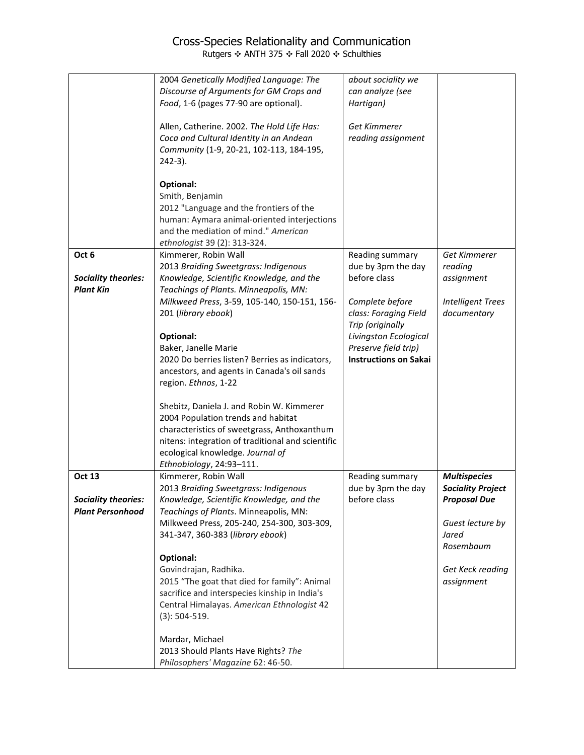|                                                | 2004 Genetically Modified Language: The<br>Discourse of Arguments for GM Crops and<br>Food, 1-6 (pages 77-90 are optional).<br>Allen, Catherine. 2002. The Hold Life Has:<br>Coca and Cultural Identity in an Andean<br>Community (1-9, 20-21, 102-113, 184-195, | about sociality we<br>can analyze (see<br>Hartigan)<br>Get Kimmerer<br>reading assignment |                                                                        |
|------------------------------------------------|------------------------------------------------------------------------------------------------------------------------------------------------------------------------------------------------------------------------------------------------------------------|-------------------------------------------------------------------------------------------|------------------------------------------------------------------------|
|                                                | $242-3$ ).<br>Optional:                                                                                                                                                                                                                                          |                                                                                           |                                                                        |
|                                                | Smith, Benjamin<br>2012 "Language and the frontiers of the<br>human: Aymara animal-oriented interjections<br>and the mediation of mind." American<br>ethnologist 39 (2): 313-324.                                                                                |                                                                                           |                                                                        |
| Oct 6                                          | Kimmerer, Robin Wall<br>2013 Braiding Sweetgrass: Indigenous                                                                                                                                                                                                     | Reading summary<br>due by 3pm the day                                                     | Get Kimmerer<br>reading                                                |
| <b>Sociality theories:</b><br><b>Plant Kin</b> | Knowledge, Scientific Knowledge, and the<br>Teachings of Plants. Minneapolis, MN:                                                                                                                                                                                | before class                                                                              | assignment                                                             |
|                                                | Milkweed Press, 3-59, 105-140, 150-151, 156-<br>201 (library ebook)                                                                                                                                                                                              | Complete before<br>class: Foraging Field<br>Trip (originally                              | <b>Intelligent Trees</b><br>documentary                                |
|                                                | Optional:<br>Baker, Janelle Marie                                                                                                                                                                                                                                | Livingston Ecological<br>Preserve field trip)                                             |                                                                        |
|                                                | 2020 Do berries listen? Berries as indicators,<br>ancestors, and agents in Canada's oil sands<br>region. Ethnos, 1-22                                                                                                                                            | <b>Instructions on Sakai</b>                                                              |                                                                        |
|                                                | Shebitz, Daniela J. and Robin W. Kimmerer<br>2004 Population trends and habitat<br>characteristics of sweetgrass, Anthoxanthum<br>nitens: integration of traditional and scientific<br>ecological knowledge. Journal of<br>Ethnobiology, 24:93-111.              |                                                                                           |                                                                        |
| <b>Oct 13</b><br><b>Sociality theories:</b>    | Kimmerer, Robin Wall<br>2013 Braiding Sweetgrass: Indigenous<br>Knowledge, Scientific Knowledge, and the                                                                                                                                                         | Reading summary<br>due by 3pm the day<br>before class                                     | <b>Multispecies</b><br><b>Sociality Project</b><br><b>Proposal Due</b> |
| <b>Plant Personhood</b>                        | Teachings of Plants. Minneapolis, MN:<br>Milkweed Press, 205-240, 254-300, 303-309,<br>341-347, 360-383 (library ebook)                                                                                                                                          |                                                                                           | Guest lecture by<br>Jared<br>Rosembaum                                 |
|                                                | Optional:<br>Govindrajan, Radhika.<br>2015 "The goat that died for family": Animal<br>sacrifice and interspecies kinship in India's<br>Central Himalayas. American Ethnologist 42<br>$(3): 504 - 519.$                                                           |                                                                                           | Get Keck reading<br>assignment                                         |
|                                                | Mardar, Michael<br>2013 Should Plants Have Rights? The<br>Philosophers' Magazine 62: 46-50.                                                                                                                                                                      |                                                                                           |                                                                        |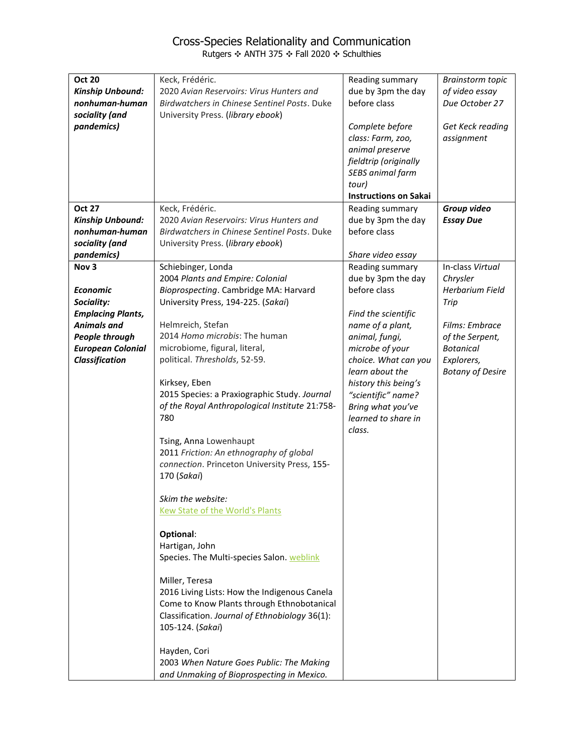| <b>Oct 20</b><br>Kinship Unbound:<br>nonhuman-human<br>sociality (and<br>pandemics)<br><b>Oct 27</b> | Keck, Frédéric.<br>2020 Avian Reservoirs: Virus Hunters and<br>Birdwatchers in Chinese Sentinel Posts. Duke<br>University Press. (library ebook)<br>Keck, Frédéric.                | Reading summary<br>due by 3pm the day<br>before class<br>Complete before<br>class: Farm, zoo,<br>animal preserve<br>fieldtrip (originally<br>SEBS animal farm<br>tour)<br><b>Instructions on Sakai</b><br>Reading summary | <b>Brainstorm topic</b><br>of video essay<br>Due October 27<br>Get Keck reading<br>assignment<br>Group video |
|------------------------------------------------------------------------------------------------------|------------------------------------------------------------------------------------------------------------------------------------------------------------------------------------|---------------------------------------------------------------------------------------------------------------------------------------------------------------------------------------------------------------------------|--------------------------------------------------------------------------------------------------------------|
| Kinship Unbound:<br>nonhuman-human<br>sociality (and                                                 | 2020 Avian Reservoirs: Virus Hunters and<br>Birdwatchers in Chinese Sentinel Posts. Duke<br>University Press. (library ebook)                                                      | due by 3pm the day<br>before class                                                                                                                                                                                        | <b>Essay Due</b>                                                                                             |
| pandemics)                                                                                           |                                                                                                                                                                                    | Share video essay                                                                                                                                                                                                         |                                                                                                              |
| Nov <sub>3</sub><br><b>Economic</b>                                                                  | Schiebinger, Londa<br>2004 Plants and Empire: Colonial<br>Bioprospecting. Cambridge MA: Harvard                                                                                    | Reading summary<br>due by 3pm the day<br>before class                                                                                                                                                                     | In-class Virtual<br>Chrysler<br><b>Herbarium Field</b>                                                       |
| Sociality:                                                                                           | University Press, 194-225. (Sakai)                                                                                                                                                 |                                                                                                                                                                                                                           | Trip                                                                                                         |
| <b>Emplacing Plants,</b>                                                                             |                                                                                                                                                                                    | Find the scientific                                                                                                                                                                                                       |                                                                                                              |
| <b>Animals and</b>                                                                                   | Helmreich, Stefan                                                                                                                                                                  | name of a plant,                                                                                                                                                                                                          | Films: Embrace                                                                                               |
| People through                                                                                       | 2014 Homo microbis: The human                                                                                                                                                      | animal, fungi,                                                                                                                                                                                                            | of the Serpent,                                                                                              |
| <b>European Colonial</b>                                                                             | microbiome, figural, literal,<br>political. Thresholds, 52-59.                                                                                                                     | microbe of your                                                                                                                                                                                                           | <b>Botanical</b>                                                                                             |
| Classification                                                                                       |                                                                                                                                                                                    | choice. What can you<br>learn about the                                                                                                                                                                                   | Explorers,<br><b>Botany of Desire</b>                                                                        |
|                                                                                                      | Kirksey, Eben<br>2015 Species: a Praxiographic Study. Journal<br>of the Royal Anthropological Institute 21:758-<br>780                                                             | history this being's<br>"scientific" name?<br>Bring what you've<br>learned to share in<br>class.                                                                                                                          |                                                                                                              |
|                                                                                                      | Tsing, Anna Lowenhaupt<br>2011 Friction: An ethnography of global<br>connection. Princeton University Press, 155-<br>170 (Sakai)                                                   |                                                                                                                                                                                                                           |                                                                                                              |
|                                                                                                      | Skim the website:<br><b>Kew State of the World's Plants</b>                                                                                                                        |                                                                                                                                                                                                                           |                                                                                                              |
|                                                                                                      | Optional:<br>Hartigan, John<br>Species. The Multi-species Salon. weblink                                                                                                           |                                                                                                                                                                                                                           |                                                                                                              |
|                                                                                                      | Miller, Teresa<br>2016 Living Lists: How the Indigenous Canela<br>Come to Know Plants through Ethnobotanical<br>Classification. Journal of Ethnobiology 36(1):<br>105-124. (Sakai) |                                                                                                                                                                                                                           |                                                                                                              |
|                                                                                                      | Hayden, Cori<br>2003 When Nature Goes Public: The Making<br>and Unmaking of Bioprospecting in Mexico.                                                                              |                                                                                                                                                                                                                           |                                                                                                              |